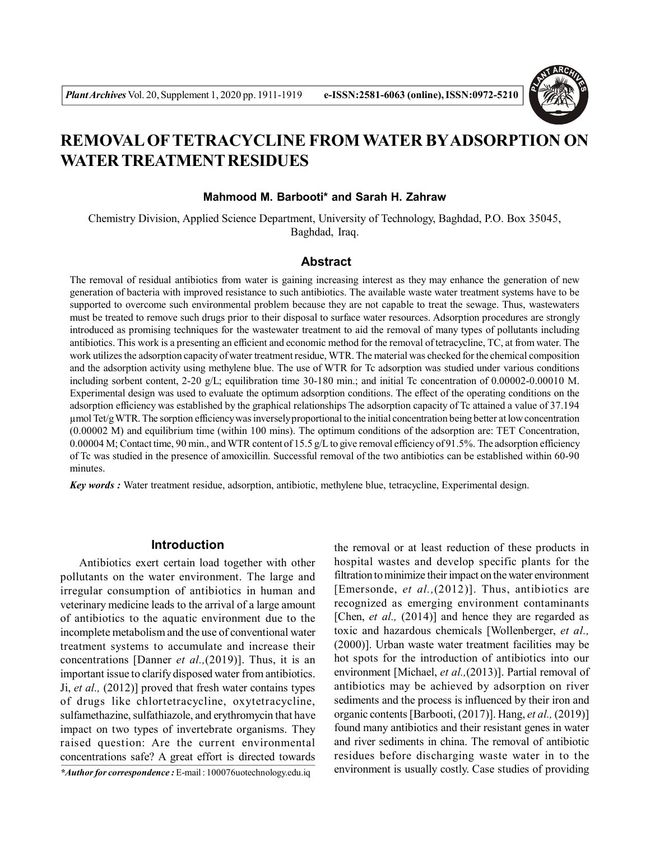

# **REMOVAL OFTETRACYCLINE FROM WATER BYADSORPTION ON WATER TREATMENT RESIDUES**

## **Mahmood M. Barbooti\* and Sarah H. Zahraw**

Chemistry Division, Applied Science Department, University of Technology, Baghdad, P.O. Box 35045, Baghdad, Iraq.

# **Abstract**

The removal of residual antibiotics from water is gaining increasing interest as they may enhance the generation of new generation of bacteria with improved resistance to such antibiotics. The available waste water treatment systems have to be supported to overcome such environmental problem because they are not capable to treat the sewage. Thus, wastewaters must be treated to remove such drugs prior to their disposal to surface water resources. Adsorption procedures are strongly introduced as promising techniques for the wastewater treatment to aid the removal of many types of pollutants including antibiotics. This work is a presenting an efficient and economic method for the removal of tetracycline, TC, at from water. The work utilizes the adsorption capacity of water treatment residue, WTR. The material was checked for the chemical composition and the adsorption activity using methylene blue. The use of WTR for Tc adsorption was studied under various conditions including sorbent content, 2-20 g/L; equilibration time 30-180 min.; and initial Tc concentration of 0.00002-0.00010 M. Experimental design was used to evaluate the optimum adsorption conditions. The effect of the operating conditions on the adsorption efficiency was established by the graphical relationships The adsorption capacity of Tc attained a value of 37.194 µmol Tet/g WTR. The sorption efficiency was inversely proportional to the initial concentration being better at low concentration (0.00002 M) and equilibrium time (within 100 mins). The optimum conditions of the adsorption are: TET Concentration, 0.00004 M; Contact time, 90 min., and WTR content of 15.5 g/L to give removal efficiency of 91.5%. The adsorption efficiency of Tc was studied in the presence of amoxicillin. Successful removal of the two antibiotics can be established within 60-90 minutes.

*Key words :* Water treatment residue, adsorption, antibiotic, methylene blue, tetracycline, Experimental design.

## **Introduction**

Antibiotics exert certain load together with other pollutants on the water environment. The large and irregular consumption of antibiotics in human and veterinary medicine leads to the arrival of a large amount of antibiotics to the aquatic environment due to the incomplete metabolism and the use of conventional water treatment systems to accumulate and increase their concentrations [Danner *et al.,*(2019)]. Thus, it is an important issue to clarify disposed water from antibiotics. Ji, *et al.,* (2012)] proved that fresh water contains types of drugs like chlortetracycline, oxytetracycline, sulfamethazine, sulfathiazole, and erythromycin that have impact on two types of invertebrate organisms. They raised question: Are the current environmental concentrations safe? A great effort is directed towards

*\*Author for correspondence :* E-mail : 100076uotechnology.edu.iq

the removal or at least reduction of these products in hospital wastes and develop specific plants for the filtration to minimize their impact on the water environment [Emersonde, *et al.,*(2012)]. Thus, antibiotics are recognized as emerging environment contaminants [Chen, *et al.*, (2014)] and hence they are regarded as toxic and hazardous chemicals [Wollenberger, *et al.,* (2000)]. Urban waste water treatment facilities may be hot spots for the introduction of antibiotics into our environment [Michael, *et al.,*(2013)]. Partial removal of antibiotics may be achieved by adsorption on river sediments and the process is influenced by their iron and organic contents [Barbooti, (2017)]. Hang, *et al.,* (2019)] found many antibiotics and their resistant genes in water and river sediments in china. The removal of antibiotic residues before discharging waste water in to the environment is usually costly. Case studies of providing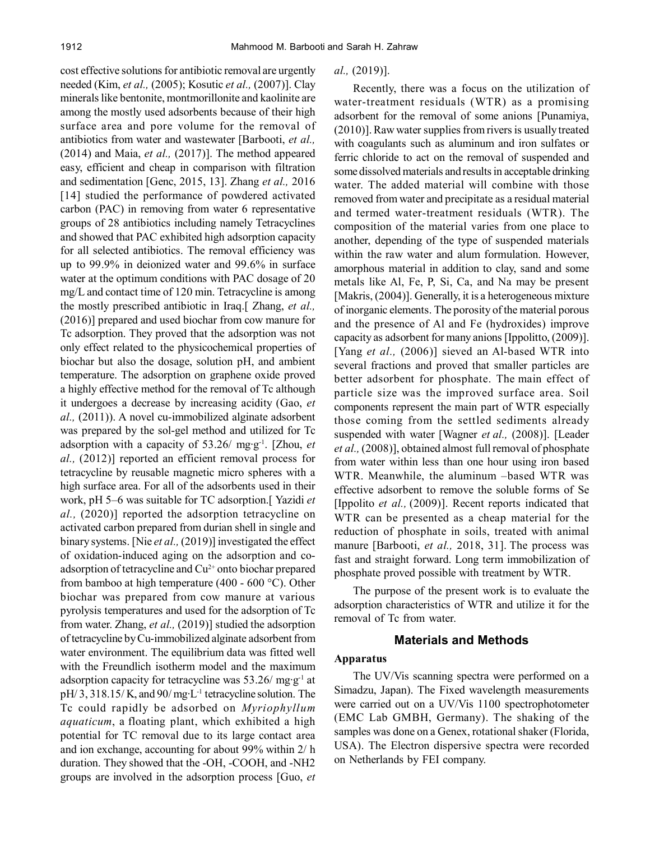cost effective solutions for antibiotic removal are urgently needed (Kim, *et al.,* (2005); Kosutic *et al.,* (2007)]. Clay minerals like bentonite, montmorillonite and kaolinite are among the mostly used adsorbents because of their high surface area and pore volume for the removal of antibiotics from water and wastewater [Barbooti, *et al.,* (2014) and Maia, *et al.,* (2017)]. The method appeared easy, efficient and cheap in comparison with filtration and sedimentation [Genc, 2015, 13]. Zhang *et al.,* 2016 [14] studied the performance of powdered activated carbon (PAC) in removing from water 6 representative groups of 28 antibiotics including namely Tetracyclines and showed that PAC exhibited high adsorption capacity for all selected antibiotics. The removal efficiency was up to 99.9% in deionized water and 99.6% in surface water at the optimum conditions with PAC dosage of 20 mg/L and contact time of 120 min. Tetracycline is among the mostly prescribed antibiotic in Iraq.[ Zhang, *et al.,* (2016)] prepared and used biochar from cow manure for Tc adsorption. They proved that the adsorption was not only effect related to the physicochemical properties of biochar but also the dosage, solution pH, and ambient temperature. The adsorption on graphene oxide proved a highly effective method for the removal of Tc although it undergoes a decrease by increasing acidity (Gao, *et al.,* (2011)). A novel cu-immobilized alginate adsorbent was prepared by the sol-gel method and utilized for Tc adsorption with a capacity of 53.26/ mg·g-1. [Zhou, *et al.,* (2012)] reported an efficient removal process for tetracycline by reusable magnetic micro spheres with a high surface area. For all of the adsorbents used in their work, pH 5–6 was suitable for TC adsorption.[ Yazidi *et al.,* (2020)] reported the adsorption tetracycline on activated carbon prepared from durian shell in single and binary systems. [Nie *et al.,* (2019)] investigated the effect of oxidation-induced aging on the adsorption and coadsorption of tetracycline and  $Cu<sup>2+</sup>$  onto biochar prepared from bamboo at high temperature (400 - 600 °C). Other biochar was prepared from cow manure at various pyrolysis temperatures and used for the adsorption of Tc from water. Zhang, *et al.,* (2019)] studied the adsorption of tetracycline by Cu-immobilized alginate adsorbent from water environment. The equilibrium data was fitted well with the Freundlich isotherm model and the maximum adsorption capacity for tetracycline was  $53.26/mg·g<sup>-1</sup>$  at pH/ 3, 318.15/ K, and 90/ mg·L-1 tetracycline solution. The Tc could rapidly be adsorbed on *Myriophyllum aquaticum*, a floating plant, which exhibited a high potential for TC removal due to its large contact area and ion exchange, accounting for about 99% within 2/ h duration. They showed that the -OH, -COOH, and -NH2 groups are involved in the adsorption process [Guo, *et*

## *al.,* (2019)].

Recently, there was a focus on the utilization of water-treatment residuals (WTR) as a promising adsorbent for the removal of some anions [Punamiya, (2010)]. Raw water supplies from rivers is usually treated with coagulants such as aluminum and iron sulfates or ferric chloride to act on the removal of suspended and some dissolved materials and results in acceptable drinking water. The added material will combine with those removed from water and precipitate as a residual material and termed water-treatment residuals (WTR). The composition of the material varies from one place to another, depending of the type of suspended materials within the raw water and alum formulation. However, amorphous material in addition to clay, sand and some metals like Al, Fe, P, Si, Ca, and Na may be present [Makris, (2004)]. Generally, it is a heterogeneous mixture of inorganic elements. The porosity of the material porous and the presence of Al and Fe (hydroxides) improve capacity as adsorbent for many anions [Ippolitto, (2009)]. [Yang *et al.,* (2006)] sieved an Al-based WTR into several fractions and proved that smaller particles are better adsorbent for phosphate. The main effect of particle size was the improved surface area. Soil components represent the main part of WTR especially those coming from the settled sediments already suspended with water [Wagner *et al.,* (2008)]. [Leader *et al.,* (2008)], obtained almost full removal of phosphate from water within less than one hour using iron based WTR. Meanwhile, the aluminum –based WTR was effective adsorbent to remove the soluble forms of Se [Ippolito *et al.*, (2009)]. Recent reports indicated that WTR can be presented as a cheap material for the reduction of phosphate in soils, treated with animal manure [Barbooti, *et al.,* 2018, 31]. The process was fast and straight forward. Long term immobilization of phosphate proved possible with treatment by WTR.

The purpose of the present work is to evaluate the adsorption characteristics of WTR and utilize it for the removal of Tc from water.

## **Materials and Methods**

## **Apparatus**

The UV/Vis scanning spectra were performed on a Simadzu, Japan). The Fixed wavelength measurements were carried out on a UV/Vis 1100 spectrophotometer (EMC Lab GMBH, Germany). The shaking of the samples was done on a Genex, rotational shaker (Florida, USA). The Electron dispersive spectra were recorded on Netherlands by FEI company.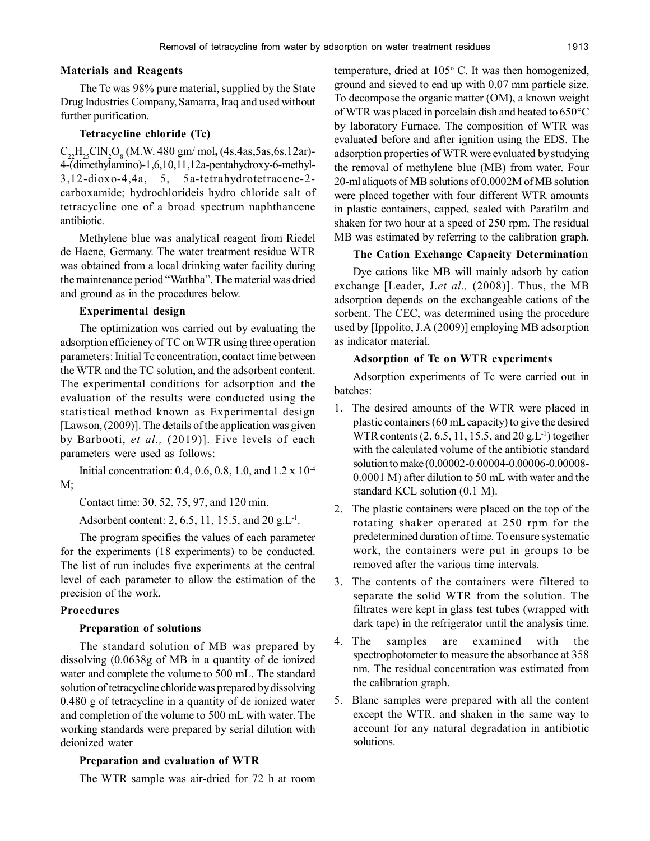## **Materials and Reagents**

The Tc was 98% pure material, supplied by the State Drug Industries Company, Samarra, Iraq and used without further purification.

# **Tetracycline chloride (Tc)**

C<sub>22</sub>H<sub>25</sub>ClN<sub>2</sub>O<sub>8</sub> (M.W. 480 gm/ mol, (4s,4as,5as,6s,12ar)-4-(dimethylamino)-1,6,10,11,12a-pentahydroxy-6-methyl-3,12-dioxo-4,4a, 5, 5a-tetrahydrotetracene-2 carboxamide; hydrochlorideis hydro chloride salt of tetracycline one of a broad spectrum naphthancene antibiotic.

Methylene blue was analytical reagent from Riedel de Haene, Germany. The water treatment residue WTR was obtained from a local drinking water facility during the maintenance period "Wathba". The material was dried and ground as in the procedures below.

#### **Experimental design**

The optimization was carried out by evaluating the adsorption efficiency of TC on WTR using three operation parameters: Initial Tc concentration, contact time between the WTR and the TC solution, and the adsorbent content. The experimental conditions for adsorption and the evaluation of the results were conducted using the statistical method known as Experimental design [Lawson, (2009)]. The details of the application was given by Barbooti, *et al.,* (2019)]. Five levels of each parameters were used as follows:

Initial concentration: 0.4, 0.6, 0.8, 1.0, and 1.2 x 10-4 M;

Contact time: 30, 52, 75, 97, and 120 min.

Adsorbent content: 2, 6.5, 11, 15.5, and 20  $g.L^{-1}$ .

The program specifies the values of each parameter for the experiments (18 experiments) to be conducted. The list of run includes five experiments at the central level of each parameter to allow the estimation of the precision of the work.

#### **Procedures**

#### **Preparation of solutions**

The standard solution of MB was prepared by dissolving (0.0638g of MB in a quantity of de ionized water and complete the volume to 500 mL. The standard solution of tetracycline chloride was prepared by dissolving 0.480 g of tetracycline in a quantity of de ionized water and completion of the volume to 500 mL with water. The working standards were prepared by serial dilution with deionized water

## **Preparation and evaluation of WTR**

The WTR sample was air-dried for 72 h at room

temperature, dried at 105° C. It was then homogenized, ground and sieved to end up with 0.07 mm particle size. To decompose the organic matter (OM), a known weight of WTR was placed in porcelain dish and heated to 650°C by laboratory Furnace. The composition of WTR was evaluated before and after ignition using the EDS. The adsorption properties of WTR were evaluated by studying the removal of methylene blue (MB) from water. Four 20-ml aliquots of MB solutions of 0.0002M of MB solution were placed together with four different WTR amounts in plastic containers, capped, sealed with Parafilm and shaken for two hour at a speed of 250 rpm. The residual MB was estimated by referring to the calibration graph.

## **The Cation Exchange Capacity Determination**

Dye cations like MB will mainly adsorb by cation exchange [Leader, J.*et al.,* (2008)]. Thus, the MB adsorption depends on the exchangeable cations of the sorbent. The CEC, was determined using the procedure used by [Ippolito, J.A (2009)] employing MB adsorption as indicator material.

#### **Adsorption of Tc on WTR experiments**

Adsorption experiments of Tc were carried out in batches:

- 1. The desired amounts of the WTR were placed in plastic containers (60 mL capacity) to give the desired WTR contents  $(2, 6.5, 11, 15.5, and 20 \text{ g.L}^{-1})$  together with the calculated volume of the antibiotic standard solution to make (0.00002-0.00004-0.00006-0.00008- 0.0001 M) after dilution to 50 mL with water and the standard KCL solution (0.1 M).
- 2. The plastic containers were placed on the top of the rotating shaker operated at 250 rpm for the predetermined duration of time. To ensure systematic work, the containers were put in groups to be removed after the various time intervals.
- 3. The contents of the containers were filtered to separate the solid WTR from the solution. The filtrates were kept in glass test tubes (wrapped with dark tape) in the refrigerator until the analysis time.
- 4. The samples are examined with the spectrophotometer to measure the absorbance at 358 nm. The residual concentration was estimated from the calibration graph.
- 5. Blanc samples were prepared with all the content except the WTR, and shaken in the same way to account for any natural degradation in antibiotic solutions.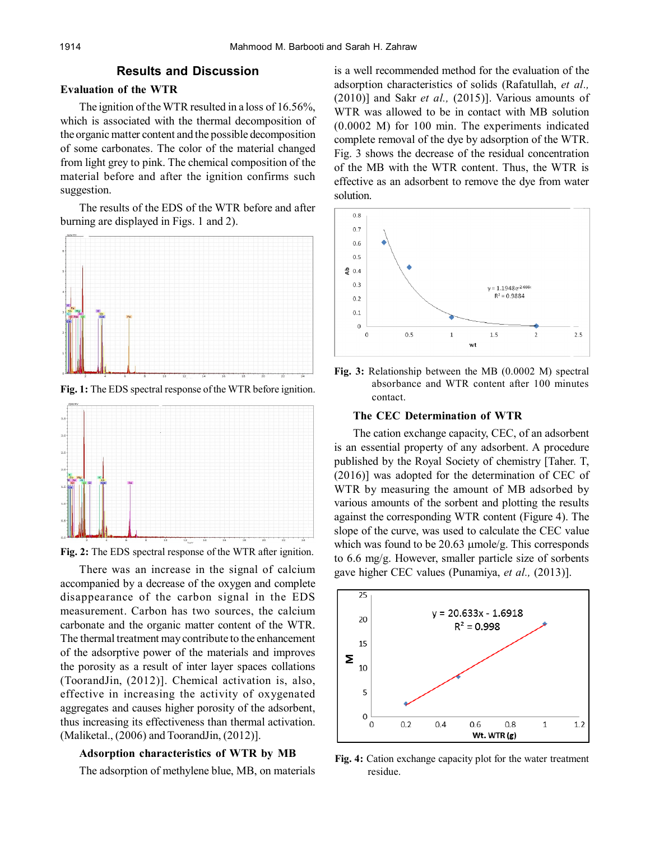# **Results and Discussion**

# **Evaluation of the WTR**

The ignition of the WTR resulted in a loss of 16.56%, which is associated with the thermal decomposition of the organic matter content and the possible decomposition of some carbonates. The color of the material changed from light grey to pink. The chemical composition of the material before and after the ignition confirms such suggestion.

The results of the EDS of the WTR before and after burning are displayed in Figs. 1 and 2).



**Fig. 1:** The EDS spectral response of the WTR before ignition.



**Fig. 2:** The EDS spectral response of the WTR after ignition.

There was an increase in the signal of calcium accompanied by a decrease of the oxygen and complete disappearance of the carbon signal in the EDS measurement. Carbon has two sources, the calcium carbonate and the organic matter content of the WTR. The thermal treatment may contribute to the enhancement of the adsorptive power of the materials and improves the porosity as a result of inter layer spaces collations (ToorandJin, (2012)]. Chemical activation is, also, effective in increasing the activity of oxygenated aggregates and causes higher porosity of the adsorbent, thus increasing its effectiveness than thermal activation. (Maliketal., (2006) and ToorandJin, (2012)].

## **Adsorption characteristics of WTR by MB**

The adsorption of methylene blue, MB, on materials

is a well recommended method for the evaluation of the adsorption characteristics of solids (Rafatullah, *et al.,* (2010)] and Sakr *et al.,* (2015)]. Various amounts of WTR was allowed to be in contact with MB solution (0.0002 M) for 100 min. The experiments indicated complete removal of the dye by adsorption of the WTR. Fig. 3 shows the decrease of the residual concentration of the MB with the WTR content. Thus, the WTR is effective as an adsorbent to remove the dye from water solution.





## **The CEC Determination of WTR**

The cation exchange capacity, CEC, of an adsorbent is an essential property of any adsorbent. A procedure published by the Royal Society of chemistry [Taher. T, (2016)] was adopted for the determination of CEC of WTR by measuring the amount of MB adsorbed by various amounts of the sorbent and plotting the results against the corresponding WTR content (Figure 4). The slope of the curve, was used to calculate the CEC value which was found to be  $20.63 \mu$  mole/g. This corresponds to 6.6 mg/g. However, smaller particle size of sorbents gave higher CEC values (Punamiya, *et al.,* (2013)].



**Fig. 4:** Cation exchange capacity plot for the water treatment residue.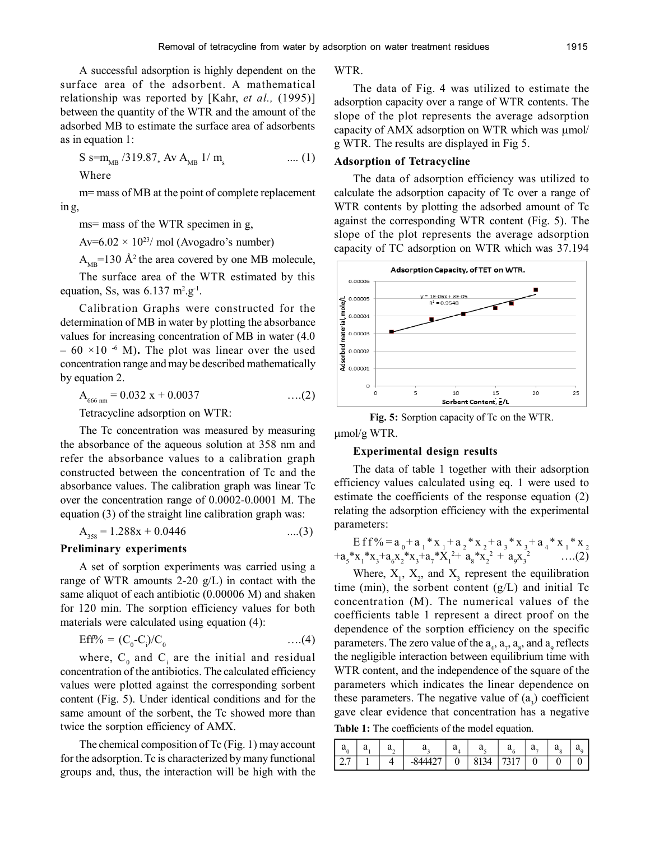A successful adsorption is highly dependent on the surface area of the adsorbent. A mathematical relationship was reported by [Kahr, *et al.,* (1995)] between the quantity of the WTR and the amount of the adsorbed MB to estimate the surface area of adsorbents as in equation 1:

S s=mMB /319.87\* Av AMB 1/ m<sup>s</sup> .... (1) Where

m= mass of MB at the point of complete replacement in g,

ms= mass of the WTR specimen in g,

Av= $6.02 \times 10^{23}$ / mol (Avogadro's number)

 $A_{\mu\nu}$ =130 Å<sup>2</sup> the area covered by one MB molecule,

The surface area of the WTR estimated by this equation, Ss, was  $6.137 \text{ m}^2 \text{.} \text{g}^{-1}$ .

Calibration Graphs were constructed for the determination of MB in water by plotting the absorbance values for increasing concentration of MB in water (4.0  $-60 \times 10^{-6}$  M). The plot was linear over the used concentration range and may be described mathematically by equation 2.

$$
A_{666 \text{ nm}} = 0.032 \text{ x} + 0.0037 \qquad \qquad \dots (2)
$$

Tetracycline adsorption on WTR:

The Tc concentration was measured by measuring the absorbance of the aqueous solution at 358 nm and refer the absorbance values to a calibration graph constructed between the concentration of Tc and the absorbance values. The calibration graph was linear Tc over the concentration range of 0.0002-0.0001 M. The equation (3) of the straight line calibration graph was:

$$
A_{358} = 1.288x + 0.0446 \qquad \qquad \dots(3)
$$

# **Preliminary experiments**

A set of sorption experiments was carried using a range of WTR amounts 2-20  $g/L$ ) in contact with the same aliquot of each antibiotic (0.00006 M) and shaken for 120 min. The sorption efficiency values for both materials were calculated using equation (4):

$$
\text{Eff}\% = (\text{C}_0 - \text{C}_i)/\text{C}_0 \tag{4}
$$

where,  $C_0$  and  $C_i$  are the initial and residual concentration of the antibiotics. The calculated efficiency values were plotted against the corresponding sorbent content (Fig. 5). Under identical conditions and for the same amount of the sorbent, the Tc showed more than twice the sorption efficiency of AMX.

The chemical composition of Tc (Fig. 1) may account for the adsorption. Tc is characterized by many functional groups and, thus, the interaction will be high with the WTR.

The data of Fig. 4 was utilized to estimate the adsorption capacity over a range of WTR contents. The slope of the plot represents the average adsorption capacity of  $AMX$  adsorption on WTR which was  $\mu$ mol/ g WTR. The results are displayed in Fig 5.

## **Adsorption of Tetracycline**

The data of adsorption efficiency was utilized to calculate the adsorption capacity of Tc over a range of WTR contents by plotting the adsorbed amount of Tc against the corresponding WTR content (Fig. 5). The slope of the plot represents the average adsorption capacity of TC adsorption on WTR which was 37.194



Fig. 5: Sorption capacity of Tc on the WTR.

mol/g WTR.

#### **Experimental design results**

The data of table 1 together with their adsorption efficiency values calculated using eq. 1 were used to estimate the coefficients of the response equation (2) relating the adsorption efficiency with the experimental parameters:

E f f % = 
$$
a_0 + a_1 * x_1 + a_2 * x_2 + a_3 * x_3 + a_4 * x_1 * x_2
$$
  
+ $a_5 * x_1 * x_3 + a_6 x_2 * x_3 + a_7 * x_1^2 + a_8 * x_2^2 + a_9 x_3^2$  ....(2)

Where,  $X_1$ ,  $X_2$ , and  $X_3$  represent the equilibration time (min), the sorbent content (g/L) and initial Tc concentration (M). The numerical values of the coefficients table 1 represent a direct proof on the dependence of the sorption efficiency on the specific parameters. The zero value of the  $a_4$ ,  $a_7$ ,  $a_8$ , and  $a_9$  reflects the negligible interaction between equilibrium time with WTR content, and the independence of the square of the parameters which indicates the linear dependence on these parameters. The negative value of  $(a_3)$  coefficient gave clear evidence that concentration has a negative **Table 1:** The coefficients of the model equation.

|               | a | u. |           | <u>u.</u>        | u-            | a,        | a-, | a. |   |
|---------------|---|----|-----------|------------------|---------------|-----------|-----|----|---|
| <u>.</u><br>- |   |    | $-844427$ | $\boldsymbol{0}$ | 34<br>81<br>ິ | <u>Ji</u> |     |    | ັ |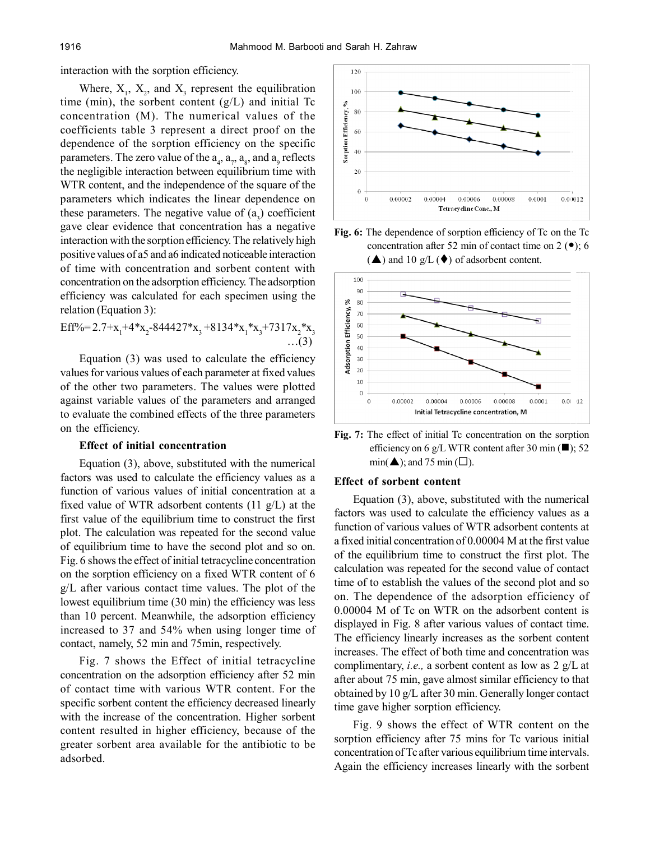interaction with the sorption efficiency.

Where,  $X_1$ ,  $X_2$ , and  $X_3$  represent the equilibration time (min), the sorbent content  $(g/L)$  and initial Tc concentration (M). The numerical values of the coefficients table 3 represent a direct proof on the dependence of the sorption efficiency on the specific parameters. The zero value of the  $a_{4}$ ,  $a_{7}$ ,  $a_{8}$ , and  $a_{9}$  reflects the negligible interaction between equilibrium time with WTR content, and the independence of the square of the parameters which indicates the linear dependence on these parameters. The negative value of  $(a_3)$  coefficient gave clear evidence that concentration has a negative interaction with the sorption efficiency. The relatively high positive values of a5 and a6 indicated noticeable interaction of time with concentration and sorbent content with concentration on the adsorption efficiency. The adsorption efficiency was calculated for each specimen using the relation (Equation 3):

$$
Eff\%=2.7+x_1+4*x_2-844427*x_3+8134*x_1*x_3+7317x_2*x_3
$$
  
...(3)

Equation (3) was used to calculate the efficiency values for various values of each parameter at fixed values of the other two parameters. The values were plotted against variable values of the parameters and arranged to evaluate the combined effects of the three parameters on the efficiency.

#### **Effect of initial concentration**

Equation (3), above, substituted with the numerical factors was used to calculate the efficiency values as a function of various values of initial concentration at a fixed value of WTR adsorbent contents (11 g/L) at the first value of the equilibrium time to construct the first plot. The calculation was repeated for the second value of equilibrium time to have the second plot and so on. Fig. 6 shows the effect of initial tetracycline concentration on the sorption efficiency on a fixed WTR content of 6 g/L after various contact time values. The plot of the lowest equilibrium time (30 min) the efficiency was less than 10 percent. Meanwhile, the adsorption efficiency increased to 37 and 54% when using longer time of contact, namely, 52 min and 75min, respectively.

Fig. 7 shows the Effect of initial tetracycline concentration on the adsorption efficiency after 52 min of contact time with various WTR content. For the specific sorbent content the efficiency decreased linearly with the increase of the concentration. Higher sorbent content resulted in higher efficiency, because of the greater sorbent area available for the antibiotic to be adsorbed.



Fig. 6: The dependence of sorption efficiency of Tc on the Tc concentration after 52 min of contact time on  $2(\bullet)$ ; 6  $(\triangle)$  and 10 g/L  $(\triangle)$  of adsorbent content.



Fig. 7: The effect of initial Tc concentration on the sorption efficiency on 6 g/L WTR content after 30 min  $(\blacksquare)$ ; 52  $min(\triangle)$ ; and 75 min ( $\square$ ).

#### **Effect of sorbent content**

Equation (3), above, substituted with the numerical factors was used to calculate the efficiency values as a function of various values of WTR adsorbent contents at a fixed initial concentration of 0.00004 M at the first value of the equilibrium time to construct the first plot. The calculation was repeated for the second value of contact time of to establish the values of the second plot and so on. The dependence of the adsorption efficiency of 0.00004 M of Tc on WTR on the adsorbent content is displayed in Fig. 8 after various values of contact time. The efficiency linearly increases as the sorbent content increases. The effect of both time and concentration was complimentary, *i.e.,* a sorbent content as low as 2 g/L at after about 75 min, gave almost similar efficiency to that obtained by 10 g/L after 30 min. Generally longer contact time gave higher sorption efficiency.

Fig. 9 shows the effect of WTR content on the sorption efficiency after 75 mins for Tc various initial concentration of Tc after various equilibrium time intervals. Again the efficiency increases linearly with the sorbent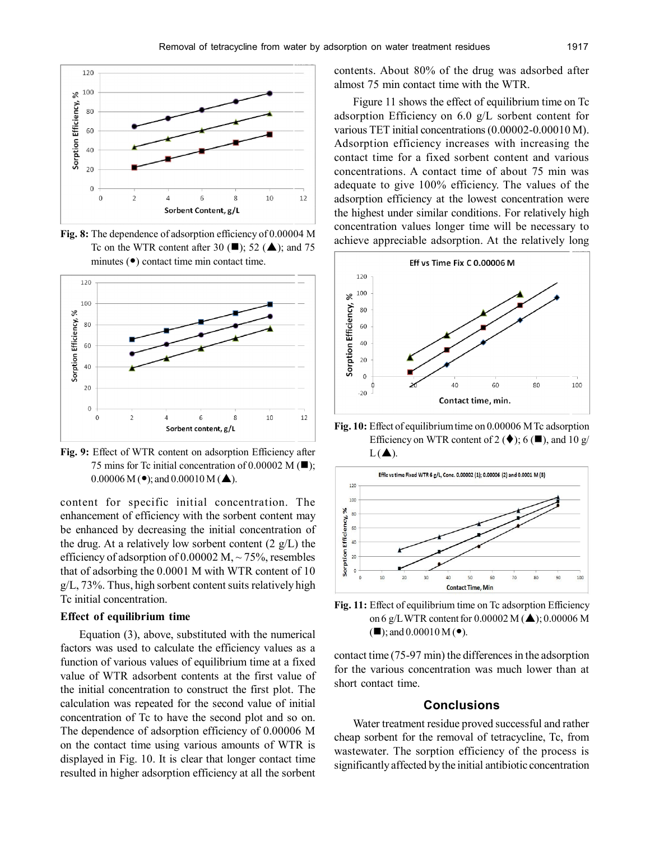

**Fig. 8:** The dependence of adsorption efficiency of 0.00004 M Tc on the WTR content after 30 ( $\blacksquare$ ); 52 ( $\blacktriangle$ ); and 75 minutes  $(•)$  contact time min contact time.



**Fig. 9:** Effect of WTR content on adsorption Efficiency after 75 mins for Tc initial concentration of 0.00002 M  $(\blacksquare)$ ;  $0.00006 M$  ( $\bullet$ ); and  $0.00010 M$  ( $\spadesuit$ ).

content for specific initial concentration. The enhancement of efficiency with the sorbent content may be enhanced by decreasing the initial concentration of the drug. At a relatively low sorbent content  $(2 \text{ g/L})$  the efficiency of adsorption of  $0.00002$  M,  $\sim$  75%, resembles that of adsorbing the 0.0001 M with WTR content of 10 g/L, 73%. Thus, high sorbent content suits relatively high Tc initial concentration.

#### **Effect of equilibrium time**

Equation (3), above, substituted with the numerical factors was used to calculate the efficiency values as a function of various values of equilibrium time at a fixed value of WTR adsorbent contents at the first value of the initial concentration to construct the first plot. The calculation was repeated for the second value of initial concentration of Tc to have the second plot and so on. The dependence of adsorption efficiency of 0.00006 M on the contact time using various amounts of WTR is displayed in Fig. 10. It is clear that longer contact time resulted in higher adsorption efficiency at all the sorbent

contents. About 80% of the drug was adsorbed after almost 75 min contact time with the WTR.

Figure 11 shows the effect of equilibrium time on Tc adsorption Efficiency on 6.0 g/L sorbent content for various TET initial concentrations (0.00002-0.00010 M). Adsorption efficiency increases with increasing the contact time for a fixed sorbent content and various concentrations. A contact time of about 75 min was adequate to give 100% efficiency. The values of the adsorption efficiency at the lowest concentration were the highest under similar conditions. For relatively high concentration values longer time will be necessary to achieve appreciable adsorption. At the relatively long



**Fig. 10:** Effect of equilibrium time on 0.00006 M Tc adsorption Efficiency on WTR content of 2 ( $\blacklozenge$ ); 6 ( $\blacksquare$ ), and 10 g/  $L(\triangle)$ .



**Fig. 11:** Effect of equilibrium time on Tc adsorption Efficiency on 6 g/L WTR content for  $0.00002$  M ( $\triangle$ ); 0.00006 M  $(\blacksquare)$ ; and 0.00010 M  $(\bullet)$ .

contact time (75-97 min) the differences in the adsorption for the various concentration was much lower than at short contact time.

# **Conclusions**

Water treatment residue proved successful and rather cheap sorbent for the removal of tetracycline, Tc, from wastewater. The sorption efficiency of the process is significantly affected by the initial antibiotic concentration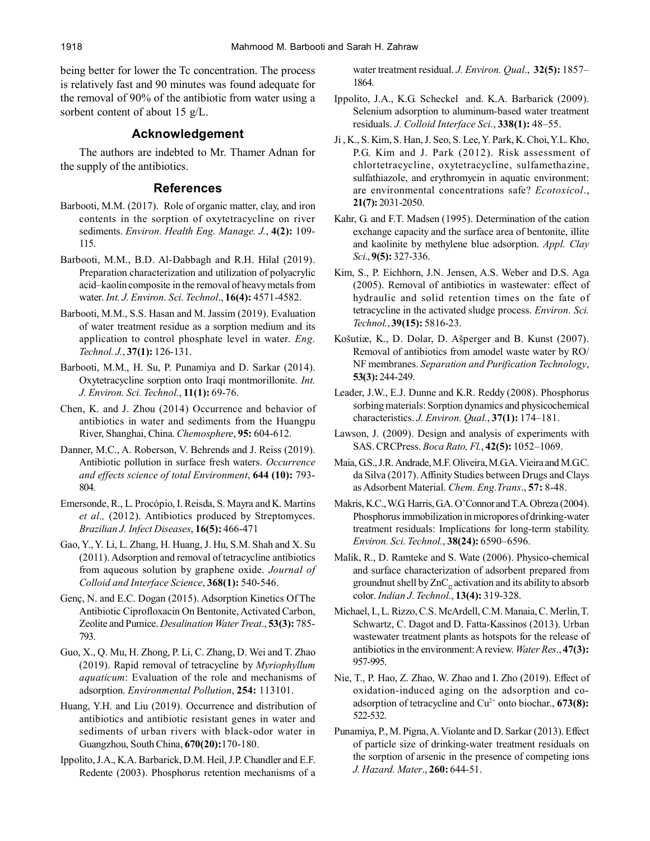being better for lower the Tc concentration. The process is relatively fast and 90 minutes was found adequate for the removal of 90% of the antibiotic from water using a sorbent content of about 15 g/L.

# **Acknowledgement**

The authors are indebted to Mr. Thamer Adnan for the supply of the antibiotics.

# **References**

- Barbooti, M.M. (2017). Role of organic matter, clay, and iron contents in the sorption of oxytetracycline on river sediments. *Environ. Health Eng. Manage. J.*, **4(2):** 109- 115.
- Barbooti, M.M., B.D. Al-Dabbagh and R.H. Hilal (2019). Preparation characterization and utilization of polyacrylic acid–kaolin composite in the removal of heavy metals from water. *Int. J. Environ. Sci. Technol*., **16(4):** 4571-4582.
- Barbooti, M.M., S.S. Hasan and M. Jassim (2019). Evaluation of water treatment residue as a sorption medium and its application to control phosphate level in water. *Eng. Technol. J.*, **37(1):** 126-131.
- Barbooti, M.M., H. Su, P. Punamiya and D. Sarkar (2014). Oxytetracycline sorption onto Iraqi montmorillonite. *Int. J. Environ. Sci. Technol.*, **11(1):** 69-76.
- Chen, K. and J. Zhou (2014) Occurrence and behavior of antibiotics in water and sediments from the Huangpu River, Shanghai, China. *Chemosphere*, **95:** 604-612.
- Danner, M.C., A. Roberson, V. Behrends and J. Reiss (2019). Antibiotic pollution in surface fresh waters. *Occurrence and effects science of total Environment*, **644 (10):** 793- 804.
- Emersonde, R., L. Procópio, I. Reisda, S. Mayra and K. Martins *et al.,* (2012). Antibiotics produced by Streptomyces. *Brazilian J. Infect Diseases*, **16(5):** 466-471
- Gao, Y., Y. Li, L. Zhang, H. Huang, J. Hu, S.M. Shah and X. Su (2011). Adsorption and removal of tetracycline antibiotics from aqueous solution by graphene oxide. *Journal of Colloid and Interface Science*, **368(1):** 540-546.
- Genç, N. and E.C. Dogan (2015). Adsorption Kinetics Of The Antibiotic Ciprofloxacin On Bentonite, Activated Carbon, Zeolite and Pumice. *Desalination Water Treat*., **53(3):** 785- 793.
- Guo, X., Q. Mu, H. Zhong, P. Li, C. Zhang, D. Wei and T. Zhao (2019). Rapid removal of tetracycline by *Myriophyllum aquaticum*: Evaluation of the role and mechanisms of adsorption. *Environmental Pollution*, **254:** 113101.
- Huang, Y.H. and Liu (2019). Occurrence and distribution of antibiotics and antibiotic resistant genes in water and sediments of urban rivers with black-odor water in Guangzhou, South China, **670(20):**170-180.
- Ippolito, J.A., K.A. Barbarick, D.M. Heil, J.P. Chandler and E.F. Redente (2003). Phosphorus retention mechanisms of a

water treatment residual. *J. Environ. Qual*., **32(5):** 1857– 1864.

- Ippolito, J.A., K.G. Scheckel and. K.A. Barbarick (2009). Selenium adsorption to aluminum-based water treatment residuals. *J. Colloid Interface Sci.*, **338(1):** 48–55.
- Ji , K., S. Kim, S. Han, J. Seo, S. Lee, Y. Park, K. Choi, Y.L. Kho, P.G. Kim and J. Park (2012). Risk assessment of chlortetracycline, oxytetracycline, sulfamethazine, sulfathiazole, and erythromycin in aquatic environment: are environmental concentrations safe? *Ecotoxicol*., **21(7):** 2031-2050.
- Kahr, G. and F.T. Madsen (1995). Determination of the cation exchange capacity and the surface area of bentonite, illite and kaolinite by methylene blue adsorption. *Appl. Clay Sci*., **9(5):** 327-336.
- Kim, S., P. Eichhorn, J.N. Jensen, A.S. Weber and D.S. Aga (2005). Removal of antibiotics in wastewater: effect of hydraulic and solid retention times on the fate of tetracycline in the activated sludge process. *Environ. Sci. Technol.*, **39(15):** 5816-23.
- Košutiæ, K., D. Dolar, D. Ašperger and B. Kunst (2007). Removal of antibiotics from amodel waste water by RO/ NF membranes. *Separation and Purification Technology*, **53(3):** 244-249.
- Leader, J.W., E.J. Dunne and K.R. Reddy (2008). Phosphorus sorbing materials: Sorption dynamics and physicochemical characteristics. *J. Environ. Qual.*, **37(1):** 174–181.
- Lawson, J. (2009). Design and analysis of experiments with SAS. CRCPress. *Boca Rato, Fl.*, **42(5):** 1052–1069.
- Maia, G.S., J.R. Andrade, M.F. Oliveira, M.G.A. Vieira and M.G.C. da Silva (2017). Affinity Studies between Drugs and Clays as Adsorbent Material. *Chem. Eng.Trans*., **57:** 8-48.
- Makris, K.C., W.G. Harris, G.A. O'Connor and T.A. Obreza (2004). Phosphorus immobilization in micropores of drinking-water treatment residuals: Implications for long-term stability. *Environ. Sci. Technol.*, **38(24):** 6590–6596.
- Malik, R., D. Ramteke and S. Wate (2006). Physico-chemical and surface characterization of adsorbent prepared from groundnut shell by  $ZnC_p$  activation and its ability to absorb color. *Indian J. Technol.*, **13(4):** 319-328.
- Michael, I., L. Rizzo, C.S. McArdell, C.M. Manaia, C. Merlin, T. Schwartz, C. Dagot and D. Fatta-Kassinos (2013). Urban wastewater treatment plants as hotspots for the release of antibiotics in the environment: A review. *Water Res*., **47(3):** 957-995.
- Nie, T., P. Hao, Z. Zhao, W. Zhao and I. Zho (2019). Effect of oxidation-induced aging on the adsorption and coadsorption of tetracycline and Cu2+ onto biochar., **673(8):** 522-532.
- Punamiya, P., M. Pigna, A. Violante and D. Sarkar (2013). Effect of particle size of drinking-water treatment residuals on the sorption of arsenic in the presence of competing ions *J. Hazard. Mater*., **260:** 644-51.